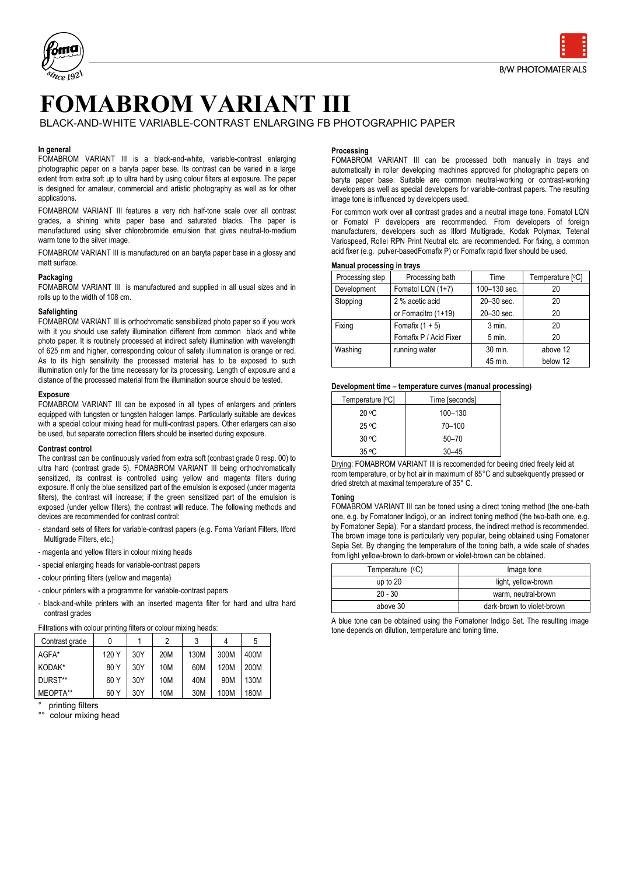

# **FOMABROM VARIANT III**

BLACK-AND-WHITE VARIABLE-CONTRAST ENLARGING FB PHOTOGRAPHIC PAPER

## **In general**

FOMABROM VARIANT III is a black-and-white, variable-contrast enlarging photographic paper on a baryta paper base. Its contrast can be varied in a large extent from extra soft up to ultra hard by using colour filters at exposure. The paper is designed for amateur, commercial and artistic photography as well as for other applications.

FOMABROM VARIANT III features a very rich half-tone scale over all contrast grades, a shining white paper base and saturated blacks. The paper is manufactured using silver chlorobromide emulsion that gives neutral-to-medium warm tone to the silver image.

FOMABROM VARIANT III is manufactured on an baryta paper base in a glossy and matt surface.

#### **Packaging**

FOMABROM VARIANT III is manufactured and supplied in all usual sizes and in rolls up to the width of 108 cm.

## **Safelighting**

FOMABROM VARIANT III is orthochromatic sensibilized photo paper so if you work with it you should use safety illumination different from common black and white photo paper. It is routinely processed at indirect safety illumination with wavelength of 625 nm and higher, corresponding colour of safety illumination is orange or red. As to its high sensitivity the processed material has to be exposed to such illumination only for the time necessary for its processing. Length of exposure and a distance of the processed material from the illumination source should be tested.

#### **Exposure**

FOMABROM VARIANT III can be exposed in all types of enlargers and printers equipped with tungsten or tungsten halogen lamps. Particularly suitable are devices with a special colour mixing head for multi-contrast papers. Other erlargers can also be used, but separate correction filters should be inserted during exposure.

#### **Contrast control**

The contrast can be continuously varied from extra soft (contrast grade 0 resp. 00) to ultra hard (contrast grade 5). FOMABROM VARIANT III being orthochromatically sensitized, its contrast is controlled using yellow and magenta filters during exposure. If only the blue sensitized part of the emulsion is exposed (under magenta filters), the contrast will increase; if the green sensitized part of the emulsion is exposed (under yellow filters), the contrast will reduce. The following methods and devices are recommended for contrast control:

- standard sets of filters for variable-contrast papers (e.g. Foma Variant Filters, Ilford Multigrade Filters, etc.)
- magenta and yellow filters in colour mixing heads
- special enlarging heads for variable-contrast papers
- colour printing filters (yellow and magenta)
- colour printers with a programme for variable-contrast papers
- black-and-white printers with an inserted magenta filter for hard and ultra hard contrast grades

| Filtrations with colour printing filters or colour mixing heads: |  |  |  |  |
|------------------------------------------------------------------|--|--|--|--|
|                                                                  |  |  |  |  |

| Contrast grade |       |     | 2   |      | 4    | 5    |
|----------------|-------|-----|-----|------|------|------|
| AGFA*          | 120 Y | 30Y | 20M | 130M | 300M | 400M |
| KODAK*         | 80 Y  | 30Y | 10M | 60M  | 120M | 200M |
| DURST**        | 60 Y  | 30Y | 10M | 40M  | 90M  | 130M |
| MEOPTA**       | 60 Y  | 30Y | 10M | 30M  | 100M | 180M |

```
printing filters
```
colour mixing head

## **Processing**

FOMABROM VARIANT III can be processed both manually in trays and automatically in roller developing machines approved for photographic papers on baryta paper base. Suitable are common neutral-working or contrast-working developers as well as special developers for variable-contrast papers. The resulting image tone is influenced by developers used.

For common work over all contrast grades and a neutral image tone, Fomatol LQN or Fomatol P developers are recommended. From developers of foreign manufacturers, developers such as Ilford Multigrade, Kodak Polymax, Tetenal Variospeed, Rollei RPN Print Neutral etc. are recommended. For fixing, a common acid fixer (e.g. pulver-basedFomafix P) or Fomafix rapid fixer should be used.

#### **Manual processing in trays**

| Processing step | Processing bath        | Time           | Temperature [°C] |
|-----------------|------------------------|----------------|------------------|
| Development     | Fomatol LQN (1+7)      | 100-130 sec.   | 20               |
| Stopping        | 2 % acetic acid        | $20 - 30$ sec. | 20               |
|                 | or Fomacitro (1+19)    | 20-30 sec.     | 20               |
| Fixing          | Fomafix $(1 + 5)$      | $3$ min.       | 20               |
|                 | Fomafix P / Acid Fixer | 5 min.         | 20               |
| Washing         | running water          | 30 min.        | above 12         |
|                 |                        | 45 min.        | below 12         |

#### **Development time – temperature curves (manual processing)**

| Temperature [°C]  | Time [seconds] |
|-------------------|----------------|
| 20 °C             | 100-130        |
| $25 \text{ °C}$   | 70-100         |
| 30 °C             | $50 - 70$      |
| $35 \, \text{°C}$ | $30 - 45$      |

Drying: FOMABROM VARIANT III is reccomended for beeing dried freely leid at room temperature, or by hot air in maximum of 85°C and subsekquently pressed or dried stretch at maximal temperature of 35° C.

# **Toning**

FOMABROM VARIANT III can be toned using a direct toning method (the one-bath one, e.g. by Fomatoner Indigo), or an indirect toning method (the two-bath one, e.g. by Fomatoner Sepia). For a standard process, the indirect method is recommended. The brown image tone is particularly very popular, being obtained using Fomatoner Sepia Set. By changing the temperature of the toning bath, a wide scale of shades from light yellow-brown to dark-brown or violet-brown can be obtained.

| Temperature (°C) | Image tone                 |  |  |
|------------------|----------------------------|--|--|
| up to $20$       | light, yellow-brown        |  |  |
| $20 - 30$        | warm, neutral-brown        |  |  |
| above 30         | dark-brown to violet-brown |  |  |

A blue tone can be obtained using the Fomatoner Indigo Set. The resulting image tone depends on dilution, temperature and toning time.